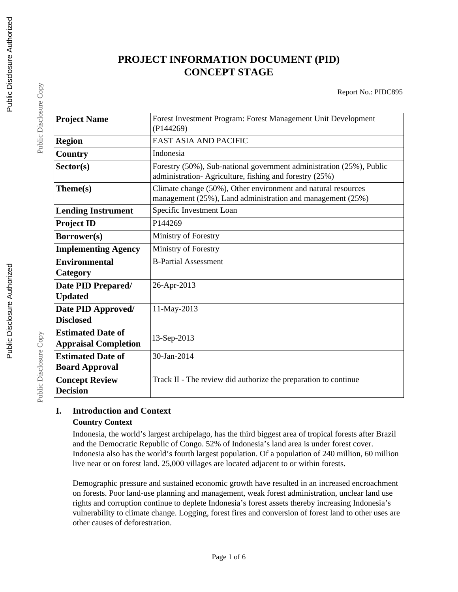# **PROJECT INFORMATION DOCUMENT (PID) CONCEPT STAGE**

Report No.: PIDC895

| <b>Project Name</b>                                     | Forest Investment Program: Forest Management Unit Development<br>(P144269)                                                     |  |  |
|---------------------------------------------------------|--------------------------------------------------------------------------------------------------------------------------------|--|--|
| <b>Region</b>                                           | <b>EAST ASIA AND PACIFIC</b>                                                                                                   |  |  |
| Country                                                 | Indonesia                                                                                                                      |  |  |
| Sector(s)                                               | Forestry (50%), Sub-national government administration (25%), Public<br>administration-Agriculture, fishing and forestry (25%) |  |  |
| Theme(s)                                                | Climate change (50%), Other environment and natural resources<br>management (25%), Land administration and management (25%)    |  |  |
| <b>Lending Instrument</b>                               | Specific Investment Loan                                                                                                       |  |  |
| <b>Project ID</b>                                       | P144269                                                                                                                        |  |  |
| Borrower(s)                                             | Ministry of Forestry                                                                                                           |  |  |
| <b>Implementing Agency</b>                              | Ministry of Forestry                                                                                                           |  |  |
| <b>Environmental</b><br>Category                        | <b>B-Partial Assessment</b>                                                                                                    |  |  |
| Date PID Prepared/<br><b>Updated</b>                    | 26-Apr-2013                                                                                                                    |  |  |
| Date PID Approved/<br><b>Disclosed</b>                  | 11-May-2013                                                                                                                    |  |  |
| <b>Estimated Date of</b><br><b>Appraisal Completion</b> | 13-Sep-2013                                                                                                                    |  |  |
| <b>Estimated Date of</b><br><b>Board Approval</b>       | 30-Jan-2014                                                                                                                    |  |  |
| <b>Concept Review</b><br><b>Decision</b>                | Track II - The review did authorize the preparation to continue                                                                |  |  |

### **I. Introduction and Context Country Context**

Indonesia, the world's largest archipelago, has the third biggest area of tropical forests after Brazil and the Democratic Republic of Congo. 52% of Indonesia's land area is under forest cover. Indonesia also has the world's fourth largest population. Of a population of 240 million, 60 million live near or on forest land. 25,000 villages are located adjacent to or within forests.

Demographic pressure and sustained economic growth have resulted in an increased encroachment on forests. Poor land-use planning and management, weak forest administration, unclear land use rights and corruption continue to deplete Indonesia's forest assets thereby increasing Indonesia's vulnerability to climate change. Logging, forest fires and conversion of forest land to other uses are other causes of deforestration.

Public Disclosure Copy

Public Disclosure Copy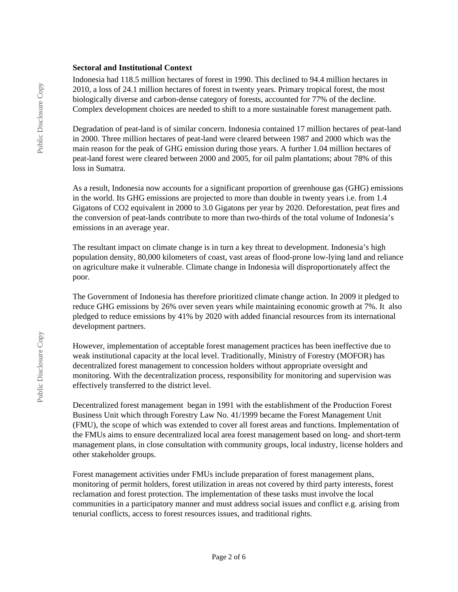#### **Sectoral and Institutional Context**

Indonesia had 118.5 million hectares of forest in 1990. This declined to 94.4 million hectares in 2010, a loss of 24.1 million hectares of forest in twenty years. Primary tropical forest, the most biologically diverse and carbon-dense category of forests, accounted for 77% of the decline. Complex development choices are needed to shift to a more sustainable forest management path.

Degradation of peat-land is of similar concern. Indonesia contained 17 million hectares of peat-land in 2000. Three million hectares of peat-land were cleared between 1987 and 2000 which was the main reason for the peak of GHG emission during those years. A further 1.04 million hectares of peat-land forest were cleared between 2000 and 2005, for oil palm plantations; about 78% of this loss in Sumatra.

As a result, Indonesia now accounts for a significant proportion of greenhouse gas (GHG) emissions in the world. Its GHG emissions are projected to more than double in twenty years i.e. from 1.4 Gigatons of CO2 equivalent in 2000 to 3.0 Gigatons per year by 2020. Deforestation, peat fires and the conversion of peat-lands contribute to more than two-thirds of the total volume of Indonesia's emissions in an average year.

The resultant impact on climate change is in turn a key threat to development. Indonesia's high population density, 80,000 kilometers of coast, vast areas of flood-prone low-lying land and reliance on agriculture make it vulnerable. Climate change in Indonesia will disproportionately affect the poor.

The Government of Indonesia has therefore prioritized climate change action. In 2009 it pledged to reduce GHG emissions by 26% over seven years while maintaining economic growth at 7%. It also pledged to reduce emissions by 41% by 2020 with added financial resources from its international development partners.

However, implementation of acceptable forest management practices has been ineffective due to weak institutional capacity at the local level. Traditionally, Ministry of Forestry (MOFOR) has decentralized forest management to concession holders without appropriate oversight and monitoring. With the decentralization process, responsibility for monitoring and supervision was effectively transferred to the district level.

Decentralized forest management began in 1991 with the establishment of the Production Forest Business Unit which through Forestry Law No. 41/1999 became the Forest Management Unit (FMU), the scope of which was extended to cover all forest areas and functions. Implementation of the FMUs aims to ensure decentralized local area forest management based on long- and short-term management plans, in close consultation with community groups, local industry, license holders and other stakeholder groups.

Forest management activities under FMUs include preparation of forest management plans, monitoring of permit holders, forest utilization in areas not covered by third party interests, forest reclamation and forest protection. The implementation of these tasks must involve the local communities in a participatory manner and must address social issues and conflict e.g. arising from tenurial conflicts, access to forest resources issues, and traditional rights.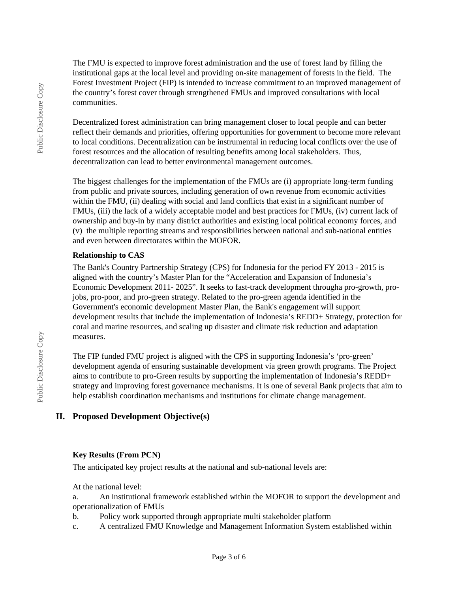The FMU is expected to improve forest administration and the use of forest land by filling the institutional gaps at the local level and providing on-site management of forests in the field. The Forest Investment Project (FIP) is intended to increase commitment to an improved management of the country's forest cover through strengthened FMUs and improved consultations with local communities.

Decentralized forest administration can bring management closer to local people and can better reflect their demands and priorities, offering opportunities for government to become more relevant to local conditions. Decentralization can be instrumental in reducing local conflicts over the use of forest resources and the allocation of resulting benefits among local stakeholders. Thus, decentralization can lead to better environmental management outcomes.

The biggest challenges for the implementation of the FMUs are (i) appropriate long-term funding from public and private sources, including generation of own revenue from economic activities within the FMU, (ii) dealing with social and land conflicts that exist in a significant number of FMUs, (iii) the lack of a widely acceptable model and best practices for FMUs, (iv) current lack of ownership and buy-in by many district authorities and existing local political economy forces, and (v) the multiple reporting streams and responsibilities between national and sub-national entities and even between directorates within the MOFOR.

#### **Relationship to CAS**

The Bank's Country Partnership Strategy (CPS) for Indonesia for the period FY 2013 - 2015 is aligned with the country's Master Plan for the "Acceleration and Expansion of Indonesia's Economic Development 2011- 2025". It seeks to fast-track development througha pro-growth, projobs, pro-poor, and pro-green strategy. Related to the pro-green agenda identified in the Government's economic development Master Plan, the Bank's engagement will support development results that include the implementation of Indonesia's REDD+ Strategy, protection for coral and marine resources, and scaling up disaster and climate risk reduction and adaptation measures.

The FIP funded FMU project is aligned with the CPS in supporting Indonesia's 'pro-green' development agenda of ensuring sustainable development via green growth programs. The Project aims to contribute to pro-Green results by supporting the implementation of Indonesia's REDD+ strategy and improving forest governance mechanisms. It is one of several Bank projects that aim to help establish coordination mechanisms and institutions for climate change management.

#### **II. Proposed Development Objective(s)**

#### **Key Results (From PCN)**

The anticipated key project results at the national and sub-national levels are:

At the national level:

a. An institutional framework established within the MOFOR to support the development and operationalization of FMUs

- b. Policy work supported through appropriate multi stakeholder platform
- c. A centralized FMU Knowledge and Management Information System established within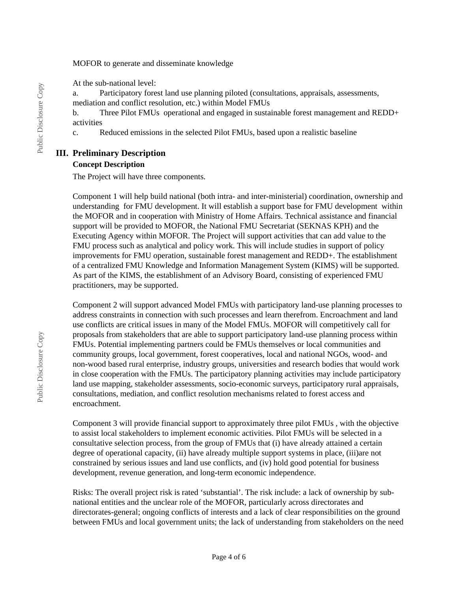#### MOFOR to generate and disseminate knowledge

At the sub-national level:

a. Participatory forest land use planning piloted (consultations, appraisals, assessments, mediation and conflict resolution, etc.) within Model FMUs

b. Three Pilot FMUs operational and engaged in sustainable forest management and REDD+ activities

c. Reduced emissions in the selected Pilot FMUs, based upon a realistic baseline

# **III. Preliminary Description**

### **Concept Description**

The Project will have three components.

Component 1 will help build national (both intra- and inter-ministerial) coordination, ownership and understanding for FMU development. It will establish a support base for FMU development within the MOFOR and in cooperation with Ministry of Home Affairs. Technical assistance and financial support will be provided to MOFOR, the National FMU Secretariat (SEKNAS KPH) and the Executing Agency within MOFOR. The Project will support activities that can add value to the FMU process such as analytical and policy work. This will include studies in support of policy improvements for FMU operation, sustainable forest management and REDD+. The establishment of a centralized FMU Knowledge and Information Management System (KIMS) will be supported. As part of the KIMS, the establishment of an Advisory Board, consisting of experienced FMU practitioners, may be supported.

Component 2 will support advanced Model FMUs with participatory land-use planning processes to address constraints in connection with such processes and learn therefrom. Encroachment and land use conflicts are critical issues in many of the Model FMUs. MOFOR will competitively call for proposals from stakeholders that are able to support participatory land-use planning process within FMUs. Potential implementing partners could be FMUs themselves or local communities and community groups, local government, forest cooperatives, local and national NGOs, wood- and non-wood based rural enterprise, industry groups, universities and research bodies that would work in close cooperation with the FMUs. The participatory planning activities may include participatory land use mapping, stakeholder assessments, socio-economic surveys, participatory rural appraisals, consultations, mediation, and conflict resolution mechanisms related to forest access and encroachment.

Component 3 will provide financial support to approximately three pilot FMUs , with the objective to assist local stakeholders to implement economic activities. Pilot FMUs will be selected in a consultative selection process, from the group of FMUs that (i) have already attained a certain degree of operational capacity, (ii) have already multiple support systems in place, (iii)are not constrained by serious issues and land use conflicts, and (iv) hold good potential for business development, revenue generation, and long-term economic independence.

Risks: The overall project risk is rated 'substantial'. The risk include: a lack of ownership by subnational entities and the unclear role of the MOFOR, particularly across directorates and directorates-general; ongoing conflicts of interests and a lack of clear responsibilities on the ground between FMUs and local government units; the lack of understanding from stakeholders on the need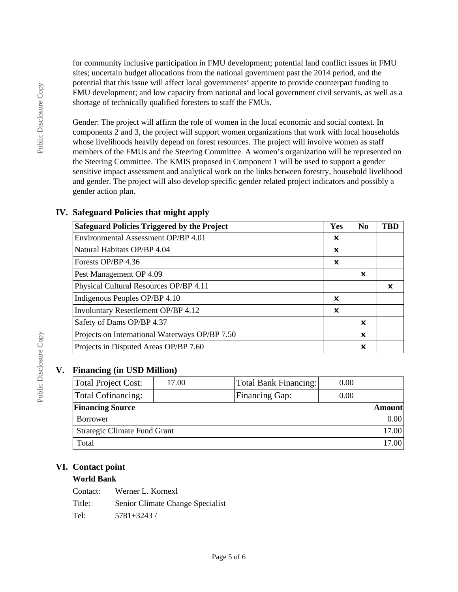for community inclusive participation in FMU development; potential land conflict issues in FMU sites; uncertain budget allocations from the national government past the 2014 period, and the potential that this issue will affect local governments' appetite to provide counterpart funding to FMU development; and low capacity from national and local government civil servants, as well as a shortage of technically qualified foresters to staff the FMUs.

Gender: The project will affirm the role of women in the local economic and social context. In components 2 and 3, the project will support women organizations that work with local households whose livelihoods heavily depend on forest resources. The project will involve women as staff members of the FMUs and the Steering Committee. A women's organization will be represented on the Steering Committee. The KMIS proposed in Component 1 will be used to support a gender sensitive impact assessment and analytical work on the links between forestry, household livelihood and gender. The project will also develop specific gender related project indicators and possibly a gender action plan.

# **IV. Safeguard Policies that might apply**

| <b>Safeguard Policies Triggered by the Project</b> | Yes | N <sub>0</sub>            | <b>TRD</b> |
|----------------------------------------------------|-----|---------------------------|------------|
| Environmental Assessment OP/BP 4.01                | ×   |                           |            |
| Natural Habitats OP/BP 4.04                        | ×   |                           |            |
| Forests OP/BP 4.36                                 | x   |                           |            |
| Pest Management OP 4.09                            |     | x                         |            |
| Physical Cultural Resources OP/BP 4.11             |     |                           | ×          |
| Indigenous Peoples OP/BP 4.10                      | ×   |                           |            |
| <b>Involuntary Resettlement OP/BP 4.12</b>         | ×   |                           |            |
| Safety of Dams OP/BP 4.37                          |     | ×                         |            |
| Projects on International Waterways OP/BP 7.50     |     | $\boldsymbol{\mathsf{x}}$ |            |
| Projects in Disputed Areas OP/BP 7.60              |     | x                         |            |

### **V. Financing (in USD Million)**

| <b>Total Project Cost:</b>   | 17.00 | Total Bank Financing: | 0.00 |        |
|------------------------------|-------|-----------------------|------|--------|
| <b>Total Cofinancing:</b>    |       | Financing Gap:        | 0.00 |        |
| <b>Financing Source</b>      |       |                       |      | Amount |
| Borrower                     |       |                       |      | 0.00   |
| Strategic Climate Fund Grant |       |                       |      | 17.00  |
| Total                        |       |                       |      | 17.00  |

# **VI. Contact point**

#### **World Bank**

| Contact: | Werner L. Kornexl                |
|----------|----------------------------------|
| Title:   | Senior Climate Change Specialist |
| Tel:     | $5781 + 3243$ /                  |